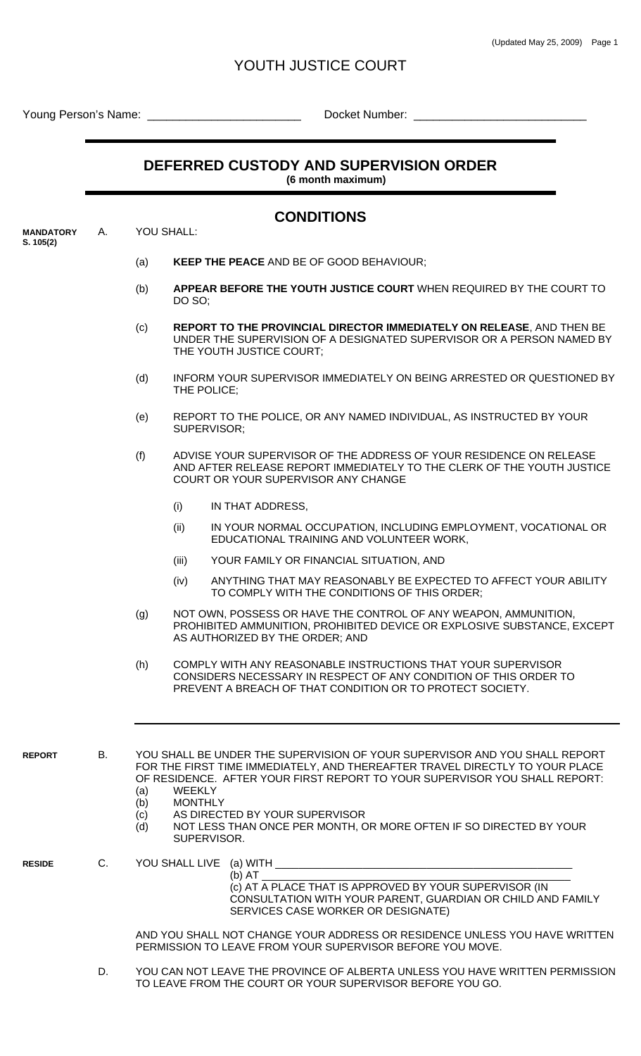## YOUTH JUSTICE COURT

Young Person's Name: \_\_\_\_\_\_\_\_\_\_\_\_\_\_\_\_\_\_\_\_\_\_\_\_ Docket Number: \_\_\_\_\_\_\_\_\_\_\_\_\_\_\_\_\_\_\_\_\_\_\_\_\_\_\_

## **DEFERRED CUSTODY AND SUPERVISION ORDER**

**CONDITIONS** 

 **(6 month maximum)** 

| <b>MANDATORY</b> | YOU SHALL: |  |
|------------------|------------|--|

**S. 105(2)**

## (a) **KEEP THE PEACE** AND BE OF GOOD BEHAVIOUR;

- (b) **APPEAR BEFORE THE YOUTH JUSTICE COURT** WHEN REQUIRED BY THE COURT TO DO SO;
- (c) **REPORT TO THE PROVINCIAL DIRECTOR IMMEDIATELY ON RELEASE**, AND THEN BE UNDER THE SUPERVISION OF A DESIGNATED SUPERVISOR OR A PERSON NAMED BY THE YOUTH JUSTICE COURT;
- (d) INFORM YOUR SUPERVISOR IMMEDIATELY ON BEING ARRESTED OR QUESTIONED BY THE POLICE;
- (e) REPORT TO THE POLICE, OR ANY NAMED INDIVIDUAL, AS INSTRUCTED BY YOUR SUPERVISOR;
- (f) ADVISE YOUR SUPERVISOR OF THE ADDRESS OF YOUR RESIDENCE ON RELEASE AND AFTER RELEASE REPORT IMMEDIATELY TO THE CLERK OF THE YOUTH JUSTICE COURT OR YOUR SUPERVISOR ANY CHANGE
	- (i) IN THAT ADDRESS,
	- (ii) IN YOUR NORMAL OCCUPATION, INCLUDING EMPLOYMENT, VOCATIONAL OR EDUCATIONAL TRAINING AND VOLUNTEER WORK,
	- (iii) YOUR FAMILY OR FINANCIAL SITUATION, AND
	- (iv) ANYTHING THAT MAY REASONABLY BE EXPECTED TO AFFECT YOUR ABILITY TO COMPLY WITH THE CONDITIONS OF THIS ORDER;
- (g) NOT OWN, POSSESS OR HAVE THE CONTROL OF ANY WEAPON, AMMUNITION, PROHIBITED AMMUNITION, PROHIBITED DEVICE OR EXPLOSIVE SUBSTANCE, EXCEPT AS AUTHORIZED BY THE ORDER; AND
- (h) COMPLY WITH ANY REASONABLE INSTRUCTIONS THAT YOUR SUPERVISOR CONSIDERS NECESSARY IN RESPECT OF ANY CONDITION OF THIS ORDER TO PREVENT A BREACH OF THAT CONDITION OR TO PROTECT SOCIETY.

**REPORT** B. YOU SHALL BE UNDER THE SUPERVISION OF YOUR SUPERVISOR AND YOU SHALL REPORT FOR THE FIRST TIME IMMEDIATELY, AND THEREAFTER TRAVEL DIRECTLY TO YOUR PLACE OF RESIDENCE. AFTER YOUR FIRST REPORT TO YOUR SUPERVISOR YOU SHALL REPORT: (a) WEEKLY

- (b) MONTHLY
- (c) AS DIRECTED BY YOUR SUPERVISOR
- (d) NOT LESS THAN ONCE PER MONTH, OR MORE OFTEN IF SO DIRECTED BY YOUR SUPERVISOR.

- **RESIDE** C. YOU SHALL LIVE (a) WITH **DEVIDE**
- (b) AT \_\_\_\_\_\_\_\_\_\_\_\_\_\_\_\_\_\_\_\_\_\_\_\_\_\_\_\_\_\_\_\_\_\_\_\_\_\_\_\_\_\_\_\_\_\_\_\_\_\_\_\_\_ (c) AT A PLACE THAT IS APPROVED BY YOUR SUPERVISOR (IN CONSULTATION WITH YOUR PARENT, GUARDIAN OR CHILD AND FAMILY SERVICES CASE WORKER OR DESIGNATE)

 AND YOU SHALL NOT CHANGE YOUR ADDRESS OR RESIDENCE UNLESS YOU HAVE WRITTEN PERMISSION TO LEAVE FROM YOUR SUPERVISOR BEFORE YOU MOVE.

 D. YOU CAN NOT LEAVE THE PROVINCE OF ALBERTA UNLESS YOU HAVE WRITTEN PERMISSION TO LEAVE FROM THE COURT OR YOUR SUPERVISOR BEFORE YOU GO.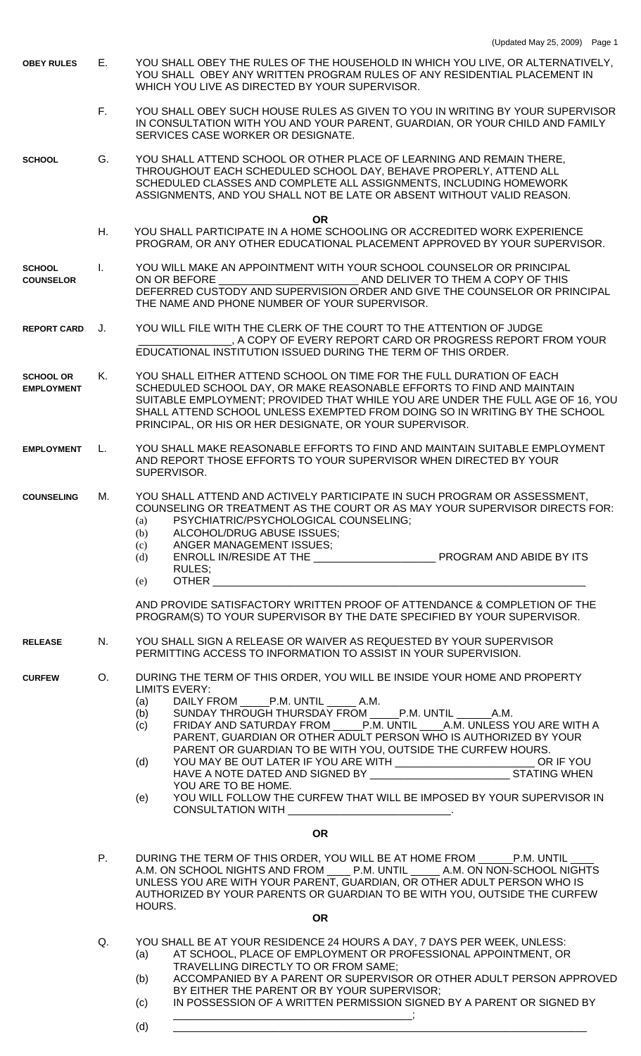| <b>OBEY RULES</b>                     | Е.           | YOU SHALL OBEY THE RULES OF THE HOUSEHOLD IN WHICH YOU LIVE, OR ALTERNATIVELY,<br>YOU SHALL OBEY ANY WRITTEN PROGRAM RULES OF ANY RESIDENTIAL PLACEMENT IN<br>WHICH YOU LIVE AS DIRECTED BY YOUR SUPERVISOR.                                                                                                                                                                                                                                                                                                                                                                                                                                                         |
|---------------------------------------|--------------|----------------------------------------------------------------------------------------------------------------------------------------------------------------------------------------------------------------------------------------------------------------------------------------------------------------------------------------------------------------------------------------------------------------------------------------------------------------------------------------------------------------------------------------------------------------------------------------------------------------------------------------------------------------------|
|                                       | F.,          | YOU SHALL OBEY SUCH HOUSE RULES AS GIVEN TO YOU IN WRITING BY YOUR SUPERVISOR<br>IN CONSULTATION WITH YOU AND YOUR PARENT, GUARDIAN, OR YOUR CHILD AND FAMILY<br>SERVICES CASE WORKER OR DESIGNATE.                                                                                                                                                                                                                                                                                                                                                                                                                                                                  |
| <b>SCHOOL</b>                         | G.           | YOU SHALL ATTEND SCHOOL OR OTHER PLACE OF LEARNING AND REMAIN THERE,<br>THROUGHOUT EACH SCHEDULED SCHOOL DAY, BEHAVE PROPERLY, ATTEND ALL<br>SCHEDULED CLASSES AND COMPLETE ALL ASSIGNMENTS, INCLUDING HOMEWORK<br>ASSIGNMENTS, AND YOU SHALL NOT BE LATE OR ABSENT WITHOUT VALID REASON.                                                                                                                                                                                                                                                                                                                                                                            |
|                                       | Η.           | <b>OR</b><br>YOU SHALL PARTICIPATE IN A HOME SCHOOLING OR ACCREDITED WORK EXPERIENCE<br>PROGRAM, OR ANY OTHER EDUCATIONAL PLACEMENT APPROVED BY YOUR SUPERVISOR.                                                                                                                                                                                                                                                                                                                                                                                                                                                                                                     |
| <b>SCHOOL</b><br><b>COUNSELOR</b>     | $\mathbf{L}$ | YOU WILL MAKE AN APPOINTMENT WITH YOUR SCHOOL COUNSELOR OR PRINCIPAL<br>AND DELIVER TO THEM A COPY OF THIS<br>ON OR BEFORE<br>DEFERRED CUSTODY AND SUPERVISION ORDER AND GIVE THE COUNSELOR OR PRINCIPAL<br>THE NAME AND PHONE NUMBER OF YOUR SUPERVISOR.                                                                                                                                                                                                                                                                                                                                                                                                            |
| <b>REPORT CARD</b>                    | J.           | YOU WILL FILE WITH THE CLERK OF THE COURT TO THE ATTENTION OF JUDGE<br>, A COPY OF EVERY REPORT CARD OR PROGRESS REPORT FROM YOUR<br>EDUCATIONAL INSTITUTION ISSUED DURING THE TERM OF THIS ORDER.                                                                                                                                                                                                                                                                                                                                                                                                                                                                   |
| <b>SCHOOL OR</b><br><b>EMPLOYMENT</b> | Κ.           | YOU SHALL EITHER ATTEND SCHOOL ON TIME FOR THE FULL DURATION OF EACH<br>SCHEDULED SCHOOL DAY, OR MAKE REASONABLE EFFORTS TO FIND AND MAINTAIN<br>SUITABLE EMPLOYMENT; PROVIDED THAT WHILE YOU ARE UNDER THE FULL AGE OF 16, YOU<br>SHALL ATTEND SCHOOL UNLESS EXEMPTED FROM DOING SO IN WRITING BY THE SCHOOL<br>PRINCIPAL, OR HIS OR HER DESIGNATE, OR YOUR SUPERVISOR.                                                                                                                                                                                                                                                                                             |
| <b>EMPLOYMENT</b>                     | L.           | YOU SHALL MAKE REASONABLE EFFORTS TO FIND AND MAINTAIN SUITABLE EMPLOYMENT<br>AND REPORT THOSE EFFORTS TO YOUR SUPERVISOR WHEN DIRECTED BY YOUR<br>SUPERVISOR.                                                                                                                                                                                                                                                                                                                                                                                                                                                                                                       |
| <b>COUNSELING</b>                     | М.           | YOU SHALL ATTEND AND ACTIVELY PARTICIPATE IN SUCH PROGRAM OR ASSESSMENT,<br>COUNSELING OR TREATMENT AS THE COURT OR AS MAY YOUR SUPERVISOR DIRECTS FOR:<br>PSYCHIATRIC/PSYCHOLOGICAL COUNSELING;<br>(a)<br>ALCOHOL/DRUG ABUSE ISSUES:<br>(b)<br>ANGER MANAGEMENT ISSUES;<br>(c)<br>(d)<br>RULES;<br>OTHER THE STATE OF THE STATE OF THE STATE OF THE STATE OF THE STATE OF THE STATE OF THE STATE OF THE STATE OF THE STATE OF THE STATE OF THE STATE OF THE STATE OF THE STATE OF THE STATE OF THE STATE OF THE STATE OF THE STAT<br>(e)                                                                                                                            |
|                                       |              | AND PROVIDE SATISFACTORY WRITTEN PROOF OF ATTENDANCE & COMPLETION OF THE<br>PROGRAM(S) TO YOUR SUPERVISOR BY THE DATE SPECIFIED BY YOUR SUPERVISOR.                                                                                                                                                                                                                                                                                                                                                                                                                                                                                                                  |
| <b>RELEASE</b>                        | N.           | YOU SHALL SIGN A RELEASE OR WAIVER AS REQUESTED BY YOUR SUPERVISOR<br>PERMITTING ACCESS TO INFORMATION TO ASSIST IN YOUR SUPERVISION.                                                                                                                                                                                                                                                                                                                                                                                                                                                                                                                                |
| <b>CURFEW</b>                         | O.           | DURING THE TERM OF THIS ORDER, YOU WILL BE INSIDE YOUR HOME AND PROPERTY<br><b>LIMITS EVERY:</b><br>DAILY FROM _______ P.M. UNTIL _______ A.M.<br>(a)<br>SUNDAY THROUGH THURSDAY FROM _____P.M. UNTIL _______ A.M.<br>(b)<br>FRIDAY AND SATURDAY FROM _____P.M. UNTIL _____ A.M. UNLESS YOU ARE WITH A<br>(c)<br>PARENT, GUARDIAN OR OTHER ADULT PERSON WHO IS AUTHORIZED BY YOUR<br>PARENT OR GUARDIAN TO BE WITH YOU, OUTSIDE THE CURFEW HOURS.<br>YOU MAY BE OUT LATER IF YOU ARE WITH ____________________________OR IF YOU<br>(d)<br><b>STATING WHEN</b><br>YOU ARE TO BE HOME.<br>YOU WILL FOLLOW THE CURFEW THAT WILL BE IMPOSED BY YOUR SUPERVISOR IN<br>(e) |
|                                       |              | <b>OR</b>                                                                                                                                                                                                                                                                                                                                                                                                                                                                                                                                                                                                                                                            |
|                                       | Ρ.           | DURING THE TERM OF THIS ORDER, YOU WILL BE AT HOME FROM ______ P.M. UNTIL<br>A.M. ON SCHOOL NIGHTS AND FROM _____ P.M. UNTIL ______ A.M. ON NON-SCHOOL NIGHTS<br>UNLESS YOU ARE WITH YOUR PARENT, GUARDIAN, OR OTHER ADULT PERSON WHO IS<br>AUTHORIZED BY YOUR PARENTS OR GUARDIAN TO BE WITH YOU, OUTSIDE THE CURFEW<br>HOURS.<br><b>OR</b>                                                                                                                                                                                                                                                                                                                         |
|                                       |              |                                                                                                                                                                                                                                                                                                                                                                                                                                                                                                                                                                                                                                                                      |
|                                       | Q.           | YOU SHALL BE AT YOUR RESIDENCE 24 HOURS A DAY, 7 DAYS PER WEEK, UNLESS:<br>AT SCHOOL, PLACE OF EMPLOYMENT OR PROFESSIONAL APPOINTMENT, OR<br>(a)<br>TRAVELLING DIRECTLY TO OR FROM SAME;<br>ACCOMPANIED BY A PARENT OR SUPERVISOR OR OTHER ADULT PERSON APPROVED<br>(b)<br>BY EITHER THE PARENT OR BY YOUR SUPERVISOR;<br>IN POSSESSION OF A WRITTEN PERMISSION SIGNED BY A PARENT OR SIGNED BY<br>(c)                                                                                                                                                                                                                                                               |

 $\rm (d)$   $\qquad \qquad \overline{\qquad \qquad }$